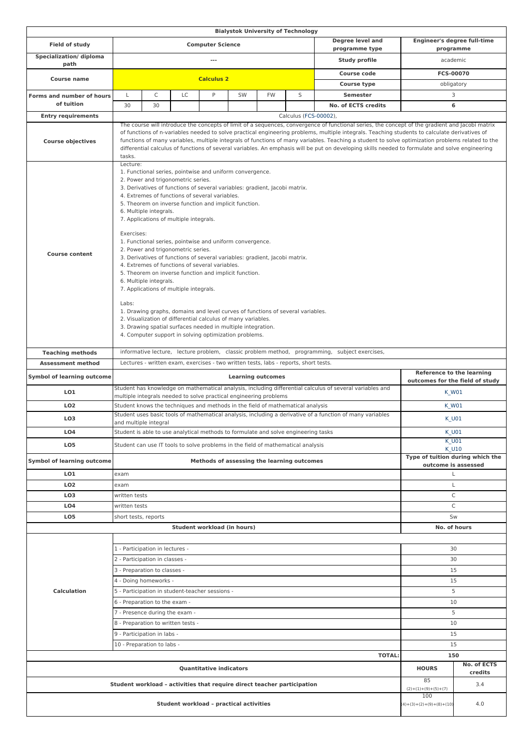|                                         |                                                                                                                                                                                                                                                                                                                                                                                                                                                                                                                                                                                                                                                                                                                                                                                                                                                                                                                                                                                                                                         |                                                                                                                                                                                        |    |                             |                                 |              | <b>Bialystok University of Technology</b>                                            |                     |                                                 |              |
|-----------------------------------------|-----------------------------------------------------------------------------------------------------------------------------------------------------------------------------------------------------------------------------------------------------------------------------------------------------------------------------------------------------------------------------------------------------------------------------------------------------------------------------------------------------------------------------------------------------------------------------------------------------------------------------------------------------------------------------------------------------------------------------------------------------------------------------------------------------------------------------------------------------------------------------------------------------------------------------------------------------------------------------------------------------------------------------------------|----------------------------------------------------------------------------------------------------------------------------------------------------------------------------------------|----|-----------------------------|---------------------------------|--------------|--------------------------------------------------------------------------------------|---------------------|-------------------------------------------------|--------------|
| Field of study                          | Degree level and<br><b>Computer Science</b><br>programme type                                                                                                                                                                                                                                                                                                                                                                                                                                                                                                                                                                                                                                                                                                                                                                                                                                                                                                                                                                           |                                                                                                                                                                                        |    |                             |                                 |              |                                                                                      |                     | <b>Engineer's degree full-time</b><br>programme |              |
| Specialization/diploma<br>path          | Study profile<br>$\ldots$                                                                                                                                                                                                                                                                                                                                                                                                                                                                                                                                                                                                                                                                                                                                                                                                                                                                                                                                                                                                               |                                                                                                                                                                                        |    |                             |                                 |              |                                                                                      |                     | academic                                        |              |
|                                         |                                                                                                                                                                                                                                                                                                                                                                                                                                                                                                                                                                                                                                                                                                                                                                                                                                                                                                                                                                                                                                         |                                                                                                                                                                                        |    |                             |                                 |              |                                                                                      | <b>Course code</b>  |                                                 | FCS-00070    |
| <b>Course name</b>                      | <b>Calculus 2</b><br><b>Course type</b>                                                                                                                                                                                                                                                                                                                                                                                                                                                                                                                                                                                                                                                                                                                                                                                                                                                                                                                                                                                                 |                                                                                                                                                                                        |    |                             |                                 |              | obligatory                                                                           |                     |                                                 |              |
| Forms and number of hours               | L                                                                                                                                                                                                                                                                                                                                                                                                                                                                                                                                                                                                                                                                                                                                                                                                                                                                                                                                                                                                                                       | C                                                                                                                                                                                      | LC | P                           | SW                              | <b>FW</b>    | S                                                                                    | <b>Semester</b>     |                                                 | 3            |
| of tuition                              | 30                                                                                                                                                                                                                                                                                                                                                                                                                                                                                                                                                                                                                                                                                                                                                                                                                                                                                                                                                                                                                                      | 30                                                                                                                                                                                     |    |                             |                                 |              |                                                                                      | No. of ECTS credits |                                                 | 6            |
| <b>Entry requirements</b>               | Calculus (FCS-00002),                                                                                                                                                                                                                                                                                                                                                                                                                                                                                                                                                                                                                                                                                                                                                                                                                                                                                                                                                                                                                   |                                                                                                                                                                                        |    |                             |                                 |              |                                                                                      |                     |                                                 |              |
| <b>Course objectives</b>                | The course will introduce the concepts of limit of a sequences, convergence of functional series, the concept of the gradient and Jacobi matrix<br>of functions of n-variables needed to solve practical engineering problems, multiple integrals. Teaching students to calculate derivatives of<br>functions of many variables, multiple integrals of functions of many variables. Teaching a student to solve optimization problems related to the<br>differential calculus of functions of several variables. An emphasis will be put on developing skills needed to formulate and solve engineering<br>tasks.                                                                                                                                                                                                                                                                                                                                                                                                                       |                                                                                                                                                                                        |    |                             |                                 |              |                                                                                      |                     |                                                 |              |
| <b>Course content</b>                   | Lecture:<br>1. Functional series, pointwise and uniform convergence.<br>2. Power and trigonometric series.<br>3. Derivatives of functions of several variables: gradient, Jacobi matrix.<br>4. Extremes of functions of several variables.<br>5. Theorem on inverse function and implicit function.<br>6. Multiple integrals.<br>7. Applications of multiple integrals.<br>Exercises:<br>1. Functional series, pointwise and uniform convergence.<br>2. Power and trigonometric series.<br>3. Derivatives of functions of several variables: gradient, Jacobi matrix.<br>4. Extremes of functions of several variables.<br>5. Theorem on inverse function and implicit function.<br>6. Multiple integrals.<br>7. Applications of multiple integrals.<br>Labs:<br>1. Drawing graphs, domains and level curves of functions of several variables.<br>2. Visualization of differential calculus of many variables.<br>3. Drawing spatial surfaces needed in multiple integration.<br>4. Computer support in solving optimization problems. |                                                                                                                                                                                        |    |                             |                                 |              |                                                                                      |                     |                                                 |              |
| <b>Teaching methods</b>                 | informative lecture, lecture problem, classic problem method, programming, subject exercises,                                                                                                                                                                                                                                                                                                                                                                                                                                                                                                                                                                                                                                                                                                                                                                                                                                                                                                                                           |                                                                                                                                                                                        |    |                             |                                 |              |                                                                                      |                     |                                                 |              |
| <b>Assessment method</b>                |                                                                                                                                                                                                                                                                                                                                                                                                                                                                                                                                                                                                                                                                                                                                                                                                                                                                                                                                                                                                                                         |                                                                                                                                                                                        |    |                             |                                 |              | Lectures - written exam, exercises - two written tests, labs - reports, short tests. |                     |                                                 |              |
| <b>Symbol of learning outcome</b>       | <b>Reference to the learning</b><br><b>Learning outcomes</b><br>outcomes for the field of study                                                                                                                                                                                                                                                                                                                                                                                                                                                                                                                                                                                                                                                                                                                                                                                                                                                                                                                                         |                                                                                                                                                                                        |    |                             |                                 |              |                                                                                      |                     |                                                 |              |
| LO1                                     |                                                                                                                                                                                                                                                                                                                                                                                                                                                                                                                                                                                                                                                                                                                                                                                                                                                                                                                                                                                                                                         | Student has knowledge on mathematical analysis, including differential calculus of several variables and<br>K_W01<br>multiple integrals needed to solve practical engineering problems |    |                             |                                 |              |                                                                                      |                     |                                                 |              |
| LO <sub>2</sub>                         | Student knows the techniques and methods in the field of mathematical analysis                                                                                                                                                                                                                                                                                                                                                                                                                                                                                                                                                                                                                                                                                                                                                                                                                                                                                                                                                          |                                                                                                                                                                                        |    |                             |                                 |              | <b>K_W01</b>                                                                         |                     |                                                 |              |
| LO <sub>3</sub>                         | Student uses basic tools of mathematical analysis, including a derivative of a function of many variables<br>and multiple integral                                                                                                                                                                                                                                                                                                                                                                                                                                                                                                                                                                                                                                                                                                                                                                                                                                                                                                      |                                                                                                                                                                                        |    |                             |                                 |              |                                                                                      | K_U01               |                                                 |              |
| LO <sub>4</sub>                         |                                                                                                                                                                                                                                                                                                                                                                                                                                                                                                                                                                                                                                                                                                                                                                                                                                                                                                                                                                                                                                         | Student is able to use analytical methods to formulate and solve engineering tasks<br>K_U01                                                                                            |    |                             |                                 |              |                                                                                      |                     |                                                 |              |
| LO <sub>5</sub>                         | Student can use IT tools to solve problems in the field of mathematical analysis                                                                                                                                                                                                                                                                                                                                                                                                                                                                                                                                                                                                                                                                                                                                                                                                                                                                                                                                                        |                                                                                                                                                                                        |    |                             |                                 |              | K U01<br>K U10                                                                       |                     |                                                 |              |
| <b>Symbol of learning outcome</b>       | Methods of assessing the learning outcomes                                                                                                                                                                                                                                                                                                                                                                                                                                                                                                                                                                                                                                                                                                                                                                                                                                                                                                                                                                                              |                                                                                                                                                                                        |    |                             |                                 |              | Type of tuition during which the<br>outcome is assessed                              |                     |                                                 |              |
| LO1                                     | exam                                                                                                                                                                                                                                                                                                                                                                                                                                                                                                                                                                                                                                                                                                                                                                                                                                                                                                                                                                                                                                    |                                                                                                                                                                                        |    |                             |                                 |              | Г                                                                                    |                     |                                                 |              |
| LO <sub>2</sub>                         | exam                                                                                                                                                                                                                                                                                                                                                                                                                                                                                                                                                                                                                                                                                                                                                                                                                                                                                                                                                                                                                                    |                                                                                                                                                                                        |    |                             |                                 |              | Г                                                                                    |                     |                                                 |              |
| LO <sub>3</sub>                         | written tests                                                                                                                                                                                                                                                                                                                                                                                                                                                                                                                                                                                                                                                                                                                                                                                                                                                                                                                                                                                                                           |                                                                                                                                                                                        |    |                             |                                 |              |                                                                                      | C                   |                                                 |              |
| LO <sub>4</sub>                         | written tests                                                                                                                                                                                                                                                                                                                                                                                                                                                                                                                                                                                                                                                                                                                                                                                                                                                                                                                                                                                                                           |                                                                                                                                                                                        |    |                             |                                 |              |                                                                                      |                     | C                                               |              |
| LO <sub>5</sub>                         |                                                                                                                                                                                                                                                                                                                                                                                                                                                                                                                                                                                                                                                                                                                                                                                                                                                                                                                                                                                                                                         | short tests, reports<br>Sw                                                                                                                                                             |    |                             |                                 |              |                                                                                      |                     |                                                 |              |
|                                         |                                                                                                                                                                                                                                                                                                                                                                                                                                                                                                                                                                                                                                                                                                                                                                                                                                                                                                                                                                                                                                         |                                                                                                                                                                                        |    | Student workload (in hours) |                                 |              |                                                                                      |                     |                                                 | No. of hours |
|                                         |                                                                                                                                                                                                                                                                                                                                                                                                                                                                                                                                                                                                                                                                                                                                                                                                                                                                                                                                                                                                                                         |                                                                                                                                                                                        |    |                             |                                 |              |                                                                                      |                     |                                                 |              |
|                                         |                                                                                                                                                                                                                                                                                                                                                                                                                                                                                                                                                                                                                                                                                                                                                                                                                                                                                                                                                                                                                                         | 1 - Participation in lectures -                                                                                                                                                        |    |                             |                                 |              |                                                                                      |                     | 30                                              |              |
|                                         | 2 - Participation in classes -                                                                                                                                                                                                                                                                                                                                                                                                                                                                                                                                                                                                                                                                                                                                                                                                                                                                                                                                                                                                          |                                                                                                                                                                                        |    |                             |                                 |              |                                                                                      |                     | 30                                              |              |
|                                         |                                                                                                                                                                                                                                                                                                                                                                                                                                                                                                                                                                                                                                                                                                                                                                                                                                                                                                                                                                                                                                         | 3 - Preparation to classes -                                                                                                                                                           |    | 15                          |                                 |              |                                                                                      |                     |                                                 |              |
|                                         |                                                                                                                                                                                                                                                                                                                                                                                                                                                                                                                                                                                                                                                                                                                                                                                                                                                                                                                                                                                                                                         | 4 - Doing homeworks -                                                                                                                                                                  | 15 |                             |                                 |              |                                                                                      |                     |                                                 |              |
| Calculation                             | 5 - Participation in student-teacher sessions -                                                                                                                                                                                                                                                                                                                                                                                                                                                                                                                                                                                                                                                                                                                                                                                                                                                                                                                                                                                         |                                                                                                                                                                                        |    |                             |                                 |              |                                                                                      |                     | 5                                               |              |
|                                         | 6 - Preparation to the exam -                                                                                                                                                                                                                                                                                                                                                                                                                                                                                                                                                                                                                                                                                                                                                                                                                                                                                                                                                                                                           |                                                                                                                                                                                        |    |                             |                                 |              |                                                                                      |                     | 10                                              |              |
|                                         | 7 - Presence during the exam -                                                                                                                                                                                                                                                                                                                                                                                                                                                                                                                                                                                                                                                                                                                                                                                                                                                                                                                                                                                                          |                                                                                                                                                                                        |    |                             |                                 |              |                                                                                      |                     | 5                                               |              |
|                                         |                                                                                                                                                                                                                                                                                                                                                                                                                                                                                                                                                                                                                                                                                                                                                                                                                                                                                                                                                                                                                                         | 8 - Preparation to written tests -                                                                                                                                                     | 10 |                             |                                 |              |                                                                                      |                     |                                                 |              |
|                                         | 9 - Participation in labs -                                                                                                                                                                                                                                                                                                                                                                                                                                                                                                                                                                                                                                                                                                                                                                                                                                                                                                                                                                                                             |                                                                                                                                                                                        |    |                             |                                 |              |                                                                                      |                     | 15                                              |              |
|                                         | 10 - Preparation to labs -<br>15                                                                                                                                                                                                                                                                                                                                                                                                                                                                                                                                                                                                                                                                                                                                                                                                                                                                                                                                                                                                        |                                                                                                                                                                                        |    |                             |                                 |              |                                                                                      |                     |                                                 |              |
| <b>TOTAL:</b>                           |                                                                                                                                                                                                                                                                                                                                                                                                                                                                                                                                                                                                                                                                                                                                                                                                                                                                                                                                                                                                                                         |                                                                                                                                                                                        |    |                             |                                 | 150          |                                                                                      |                     |                                                 |              |
| <b>Quantitative indicators</b>          |                                                                                                                                                                                                                                                                                                                                                                                                                                                                                                                                                                                                                                                                                                                                                                                                                                                                                                                                                                                                                                         |                                                                                                                                                                                        |    |                             |                                 | <b>HOURS</b> | No. of ECTS<br>credits                                                               |                     |                                                 |              |
|                                         | Student workload - activities that require direct teacher participation                                                                                                                                                                                                                                                                                                                                                                                                                                                                                                                                                                                                                                                                                                                                                                                                                                                                                                                                                                 |                                                                                                                                                                                        |    |                             |                                 |              | 85<br>$(2)+(1)+(9)+(5)+(7)$                                                          | 3.4                 |                                                 |              |
| Student workload - practical activities |                                                                                                                                                                                                                                                                                                                                                                                                                                                                                                                                                                                                                                                                                                                                                                                                                                                                                                                                                                                                                                         |                                                                                                                                                                                        |    |                             | 100<br>$4+(3)+(2)+(9)+(8)+(10)$ | 4.0          |                                                                                      |                     |                                                 |              |